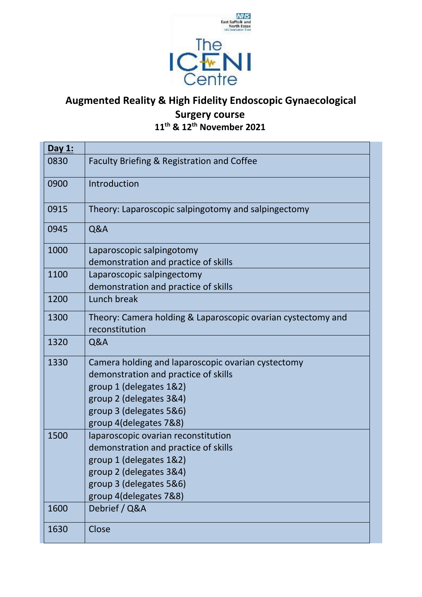

## **Augmented Reality & High Fidelity Endoscopic Gynaecological Surgery course 11th & 12th November 2021**

| Day 1: |                                                                                |
|--------|--------------------------------------------------------------------------------|
| 0830   | Faculty Briefing & Registration and Coffee                                     |
| 0900   | Introduction                                                                   |
| 0915   | Theory: Laparoscopic salpingotomy and salpingectomy                            |
| 0945   | Q&A                                                                            |
| 1000   | Laparoscopic salpingotomy<br>demonstration and practice of skills              |
| 1100   | Laparoscopic salpingectomy<br>demonstration and practice of skills             |
| 1200   | Lunch break                                                                    |
| 1300   | Theory: Camera holding & Laparoscopic ovarian cystectomy and<br>reconstitution |
| 1320   | Q&A                                                                            |
| 1330   | Camera holding and laparoscopic ovarian cystectomy                             |
|        | demonstration and practice of skills                                           |
|        | group 1 (delegates 1&2)                                                        |
|        | group 2 (delegates 3&4)                                                        |
|        | group 3 (delegates 5&6)                                                        |
|        | group 4(delegates 7&8)                                                         |
| 1500   | laparoscopic ovarian reconstitution                                            |
|        | demonstration and practice of skills<br>group 1 (delegates 1&2)                |
|        | group 2 (delegates 3&4)                                                        |
|        | group 3 (delegates 5&6)                                                        |
|        | group 4(delegates 7&8)                                                         |
| 1600   | Debrief / Q&A                                                                  |
| 1630   | Close                                                                          |